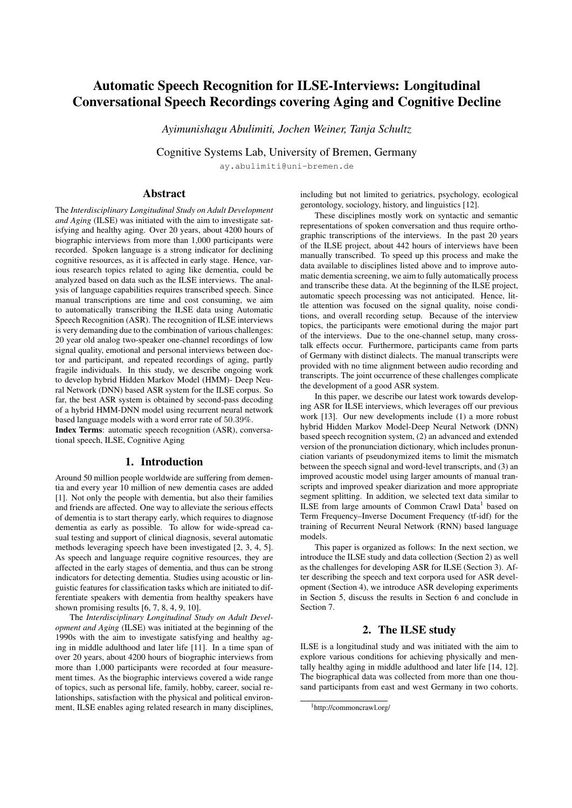# Automatic Speech Recognition for ILSE-Interviews: Longitudinal Conversational Speech Recordings covering Aging and Cognitive Decline

*Ayimunishagu Abulimiti, Jochen Weiner, Tanja Schultz*

Cognitive Systems Lab, University of Bremen, Germany

ay.abulimiti@uni-bremen.de

# Abstract

The *Interdisciplinary Longitudinal Study on Adult Development and Aging* (ILSE) was initiated with the aim to investigate satisfying and healthy aging. Over 20 years, about 4200 hours of biographic interviews from more than 1,000 participants were recorded. Spoken language is a strong indicator for declining cognitive resources, as it is affected in early stage. Hence, various research topics related to aging like dementia, could be analyzed based on data such as the ILSE interviews. The analysis of language capabilities requires transcribed speech. Since manual transcriptions are time and cost consuming, we aim to automatically transcribing the ILSE data using Automatic Speech Recognition (ASR). The recognition of ILSE interviews is very demanding due to the combination of various challenges: 20 year old analog two-speaker one-channel recordings of low signal quality, emotional and personal interviews between doctor and participant, and repeated recordings of aging, partly fragile individuals. In this study, we describe ongoing work to develop hybrid Hidden Markov Model (HMM)- Deep Neural Network (DNN) based ASR system for the ILSE corpus. So far, the best ASR system is obtained by second-pass decoding of a hybrid HMM-DNN model using recurrent neural network based language models with a word error rate of 50.39%.

Index Terms: automatic speech recognition (ASR), conversational speech, ILSE, Cognitive Aging

# 1. Introduction

Around 50 million people worldwide are suffering from dementia and every year 10 million of new dementia cases are added [1]. Not only the people with dementia, but also their families and friends are affected. One way to alleviate the serious effects of dementia is to start therapy early, which requires to diagnose dementia as early as possible. To allow for wide-spread casual testing and support of clinical diagnosis, several automatic methods leveraging speech have been investigated [2, 3, 4, 5]. As speech and language require cognitive resources, they are affected in the early stages of dementia, and thus can be strong indicators for detecting dementia. Studies using acoustic or linguistic features for classification tasks which are initiated to differentiate speakers with dementia from healthy speakers have shown promising results [6, 7, 8, 4, 9, 10].

The *Interdisciplinary Longitudinal Study on Adult Development and Aging* (ILSE) was initiated at the beginning of the 1990s with the aim to investigate satisfying and healthy aging in middle adulthood and later life [11]. In a time span of over 20 years, about 4200 hours of biographic interviews from more than 1,000 participants were recorded at four measurement times. As the biographic interviews covered a wide range of topics, such as personal life, family, hobby, career, social relationships, satisfaction with the physical and political environment, ILSE enables aging related research in many disciplines, including but not limited to geriatrics, psychology, ecological gerontology, sociology, history, and linguistics [12].

These disciplines mostly work on syntactic and semantic representations of spoken conversation and thus require orthographic transcriptions of the interviews. In the past 20 years of the ILSE project, about 442 hours of interviews have been manually transcribed. To speed up this process and make the data available to disciplines listed above and to improve automatic dementia screening, we aim to fully automatically process and transcribe these data. At the beginning of the ILSE project, automatic speech processing was not anticipated. Hence, little attention was focused on the signal quality, noise conditions, and overall recording setup. Because of the interview topics, the participants were emotional during the major part of the interviews. Due to the one-channel setup, many crosstalk effects occur. Furthermore, participants came from parts of Germany with distinct dialects. The manual transcripts were provided with no time alignment between audio recording and transcripts. The joint occurrence of these challenges complicate the development of a good ASR system.

In this paper, we describe our latest work towards developing ASR for ILSE interviews, which leverages off our previous work [13]. Our new developments include (1) a more robust hybrid Hidden Markov Model-Deep Neural Network (DNN) based speech recognition system, (2) an advanced and extended version of the pronunciation dictionary, which includes pronunciation variants of pseudonymized items to limit the mismatch between the speech signal and word-level transcripts, and (3) an improved acoustic model using larger amounts of manual transcripts and improved speaker diarization and more appropriate segment splitting. In addition, we selected text data similar to ILSE from large amounts of Common Crawl Data<sup>1</sup> based on Term Frequency–Inverse Document Frequency (tf-idf) for the training of Recurrent Neural Network (RNN) based language models.

This paper is organized as follows: In the next section, we introduce the ILSE study and data collection (Section 2) as well as the challenges for developing ASR for ILSE (Section 3). After describing the speech and text corpora used for ASR development (Section 4), we introduce ASR developing experiments in Section 5, discuss the results in Section 6 and conclude in Section 7.

# 2. The ILSE study

ILSE is a longitudinal study and was initiated with the aim to explore various conditions for achieving physically and mentally healthy aging in middle adulthood and later life [14, 12]. The biographical data was collected from more than one thousand participants from east and west Germany in two cohorts.

<sup>1</sup>http://commoncrawl.org/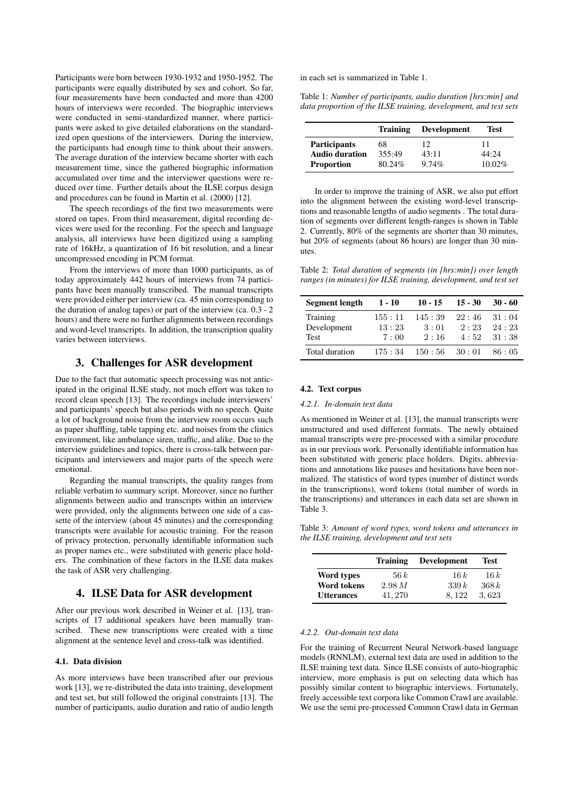Participants were born between 1930-1932 and 1950-1952. The participants were equally distributed by sex and cohort. So far, four measurements have been conducted and more than 4200 hours of interviews were recorded. The biographic interviews were conducted in semi-standardized manner, where participants were asked to give detailed elaborations on the standardized open questions of the interviewers. During the interview, the participants had enough time to think about their answers. The average duration of the interview became shorter with each measurement time, since the gathered biographic information accumulated over time and the interviewer questions were reduced over time. Further details about the ILSE corpus design and procedures can be found in Martin et al. (2000) [12].

The speech recordings of the first two measurements were stored on tapes. From third measurement, digital recording devices were used for the recording. For the speech and language analysis, all interviews have been digitized using a sampling rate of 16kHz, a quantization of 16 bit resolution, and a linear uncompressed encoding in PCM format.

From the interviews of more than 1000 participants, as of today approximately 442 hours of interviews from 74 participants have been manually transcribed. The manual transcripts were provided either per interview (ca. 45 min corresponding to the duration of analog tapes) or part of the interview  $(ca. 0.3 - 2)$ hours) and there were no further alignments between recordings and word-level transcripts. In addition, the transcription quality varies between interviews.

# 3. Challenges for ASR development

Due to the fact that automatic speech processing was not anticipated in the original ILSE study, not much effort was taken to record clean speech [13]. The recordings include interviewers' and participants' speech but also periods with no speech. Quite a lot of background noise from the interview room occurs such as paper shuffling, table tapping etc. and noises from the clinics environment, like ambulance siren, traffic, and alike. Due to the interview guidelines and topics, there is cross-talk between participants and interviewers and major parts of the speech were emotional.

Regarding the manual transcripts, the quality ranges from reliable verbatim to summary script. Moreover, since no further alignments between audio and transcripts within an interview were provided, only the alignments between one side of a cassette of the interview (about 45 minutes) and the corresponding transcripts were available for acoustic training. For the reason of privacy protection, personally identifiable information such as proper names etc., were substituted with generic place holders. The combination of these factors in the ILSE data makes the task of ASR very challenging.

# 4. ILSE Data for ASR development

After our previous work described in Weiner et al. [13], transcripts of 17 additional speakers have been manually transcribed. These new transcriptions were created with a time alignment at the sentence level and cross-talk was identified.

#### 4.1. Data division

As more interviews have been transcribed after our previous work [13], we re-distributed the data into training, development and test set, but still followed the original constraints [13]. The number of participants, audio duration and ratio of audio length in each set is summarized in Table 1.

Table 1: *Number of participants, audio duration [hrs:min] and data proportion of the ILSE training, development, and test sets*

|                       | <b>Training</b> | <b>Development</b> | Test      |
|-----------------------|-----------------|--------------------|-----------|
| <b>Participants</b>   | 68              | 12                 | 11        |
| <b>Audio duration</b> | 355:49          | 43:11              | 44:24     |
| <b>Proportion</b>     | 80.24%          | 9.74%              | $10.02\%$ |

In order to improve the training of ASR, we also put effort into the alignment between the existing word-level transcriptions and reasonable lengths of audio segments . The total duration of segments over different length-ranges is shown in Table 2. Currently, 80% of the segments are shorter than 30 minutes, but 20% of segments (about 86 hours) are longer than 30 minutes.

Table 2: *Total duration of segments (in [hrs:min]) over length ranges (in minutes) for ILSE training, development, and test set*

| Segment length | $1 - 10$ | $10 - 15$ | $15 - 30$ | $30 - 60$ |
|----------------|----------|-----------|-----------|-----------|
| Training       | 155:11   | 145:39    | 22:46     | 31:04     |
| Development    | 13:23    | 3:01      | 2:23      | 24:23     |
| Test           | 7:00     | 2:16      | 4:52      | 31:38     |
| Total duration | 175:34   | 150:56    | $-30:01$  | 86:05     |

#### 4.2. Text corpus

#### *4.2.1. In-domain text data*

As mentioned in Weiner et al. [13], the manual transcripts were unstructured and used different formats. The newly obtained manual transcripts were pre-processed with a similar procedure as in our previous work. Personally identifiable information has been substituted with generic place holders. Digits, abbreviations and annotations like pauses and hesitations have been normalized. The statistics of word types (number of distinct words in the transcriptions), word tokens (total number of words in the transcriptions) and utterances in each data set are shown in Table 3.

Table 3: *Amount of word types, word tokens and utterances in the ILSE training, development and test sets*

|                    | <b>Training</b> | Development | <b>Test</b> |
|--------------------|-----------------|-------------|-------------|
| Word types         | 56k             | 16k         | 16k         |
| <b>Word tokens</b> | 2.98 M          | 339k        | 368k        |
| <b>Utterances</b>  | 41.270          | 8.122       | 3.623       |

#### *4.2.2. Out-domain text data*

For the training of Recurrent Neural Network-based language models (RNNLM), external text data are used in addition to the ILSE training text data. Since ILSE consists of auto-biographic interview, more emphasis is put on selecting data which has possibly similar content to biographic interviews. Fortunately, freely accessible text corpora like Common Crawl are available. We use the semi pre-processed Common Crawl data in German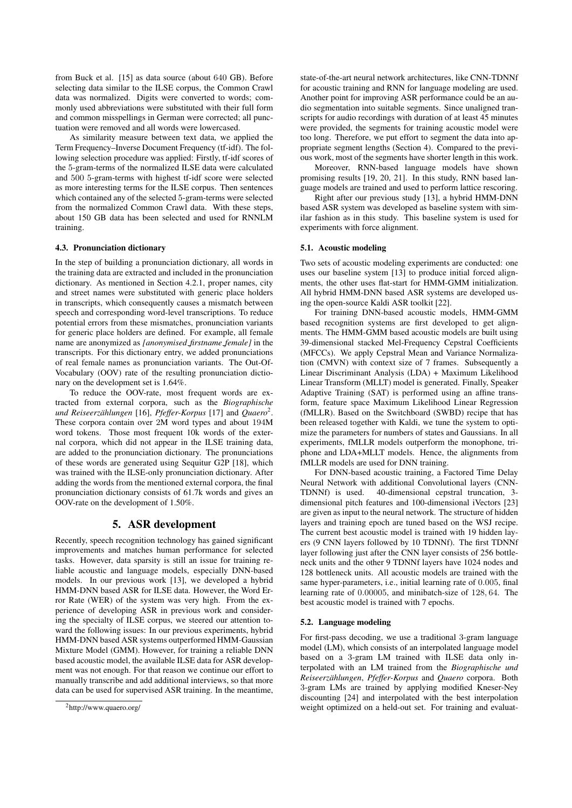from Buck et al. [15] as data source (about 640 GB). Before selecting data similar to the ILSE corpus, the Common Crawl data was normalized. Digits were converted to words; commonly used abbreviations were substituted with their full form and common misspellings in German were corrected; all punctuation were removed and all words were lowercased.

As similarity measure between text data, we applied the Term Frequency–Inverse Document Frequency (tf-idf). The following selection procedure was applied: Firstly, tf-idf scores of the 5-gram-terms of the normalized ILSE data were calculated and 500 5-gram-terms with highest tf-idf score were selected as more interesting terms for the ILSE corpus. Then sentences which contained any of the selected 5-gram-terms were selected from the normalized Common Crawl data. With these steps, about 150 GB data has been selected and used for RNNLM training.

### 4.3. Pronunciation dictionary

In the step of building a pronunciation dictionary, all words in the training data are extracted and included in the pronunciation dictionary. As mentioned in Section 4.2.1, proper names, city and street names were substituted with generic place holders in transcripts, which consequently causes a mismatch between speech and corresponding word-level transcriptions. To reduce potential errors from these mismatches, pronunciation variants for generic place holders are defined. For example, all female name are anonymized as *[anonymised firstname female]* in the transcripts. For this dictionary entry, we added pronunciations of real female names as pronunciation variants. The Out-Of-Vocabulary (OOV) rate of the resulting pronunciation dictionary on the development set is 1.64%.

To reduce the OOV-rate, most frequent words are extracted from external corpora, such as the *Biographische und Reiseerzahlungen ¨* [16], *Pfeffer-Korpus* [17] and *Quaero*<sup>2</sup> . These corpora contain over 2M word types and about 194M word tokens. Those most frequent 10k words of the external corpora, which did not appear in the ILSE training data, are added to the pronunciation dictionary. The pronunciations of these words are generated using Sequitur G2P [18], which was trained with the ILSE-only pronunciation dictionary. After adding the words from the mentioned external corpora, the final pronunciation dictionary consists of 61.7k words and gives an OOV-rate on the development of 1.50%.

# 5. ASR development

Recently, speech recognition technology has gained significant improvements and matches human performance for selected tasks. However, data sparsity is still an issue for training reliable acoustic and language models, especially DNN-based models. In our previous work [13], we developed a hybrid HMM-DNN based ASR for ILSE data. However, the Word Error Rate (WER) of the system was very high. From the experience of developing ASR in previous work and considering the specialty of ILSE corpus, we steered our attention toward the following issues: In our previous experiments, hybrid HMM-DNN based ASR systems outperformed HMM-Gaussian Mixture Model (GMM). However, for training a reliable DNN based acoustic model, the available ILSE data for ASR development was not enough. For that reason we continue our effort to manually transcribe and add additional interviews, so that more data can be used for supervised ASR training. In the meantime,

state-of-the-art neural network architectures, like CNN-TDNNf for acoustic training and RNN for language modeling are used. Another point for improving ASR performance could be an audio segmentation into suitable segments. Since unaligned transcripts for audio recordings with duration of at least 45 minutes were provided, the segments for training acoustic model were too long. Therefore, we put effort to segment the data into appropriate segment lengths (Section 4). Compared to the previous work, most of the segments have shorter length in this work.

Moreover, RNN-based language models have shown promising results [19, 20, 21]. In this study, RNN based language models are trained and used to perform lattice rescoring.

Right after our previous study [13], a hybrid HMM-DNN based ASR system was developed as baseline system with similar fashion as in this study. This baseline system is used for experiments with force alignment.

# 5.1. Acoustic modeling

Two sets of acoustic modeling experiments are conducted: one uses our baseline system [13] to produce initial forced alignments, the other uses flat-start for HMM-GMM initialization. All hybrid HMM-DNN based ASR systems are developed using the open-source Kaldi ASR toolkit [22].

For training DNN-based acoustic models, HMM-GMM based recognition systems are first developed to get alignments. The HMM-GMM based acoustic models are built using 39-dimensional stacked Mel-Frequency Cepstral Coefficients (MFCCs). We apply Cepstral Mean and Variance Normalization (CMVN) with context size of 7 frames. Subsequently a Linear Discriminant Analysis (LDA) + Maximum Likelihood Linear Transform (MLLT) model is generated. Finally, Speaker Adaptive Training (SAT) is performed using an affine transform, feature space Maximum Likelihood Linear Regression (fMLLR). Based on the Switchboard (SWBD) recipe that has been released together with Kaldi, we tune the system to optimize the parameters for numbers of states and Gaussians. In all experiments, fMLLR models outperform the monophone, triphone and LDA+MLLT models. Hence, the alignments from fMLLR models are used for DNN training.

For DNN-based acoustic training, a Factored Time Delay Neural Network with additional Convolutional layers (CNN-TDNNf) is used. 40-dimensional cepstral truncation, 3 dimensional pitch features and 100-dimensional iVectors [23] are given as input to the neural network. The structure of hidden layers and training epoch are tuned based on the WSJ recipe. The current best acoustic model is trained with 19 hidden layers (9 CNN layers followed by 10 TDNNf). The first TDNNf layer following just after the CNN layer consists of 256 bottleneck units and the other 9 TDNNf layers have 1024 nodes and 128 bottleneck units. All acoustic models are trained with the same hyper-parameters, i.e., initial learning rate of 0.005, final learning rate of 0.00005, and minibatch-size of 128, 64. The best acoustic model is trained with 7 epochs.

# 5.2. Language modeling

For first-pass decoding, we use a traditional 3-gram language model (LM), which consists of an interpolated language model based on a 3-gram LM trained with ILSE data only interpolated with an LM trained from the *Biographische und Reiseerzahlungen ¨* , *Pfeffer-Korpus* and *Quaero* corpora. Both 3-gram LMs are trained by applying modified Kneser-Ney discounting [24] and interpolated with the best interpolation weight optimized on a held-out set. For training and evaluat-

<sup>2</sup>http://www.quaero.org/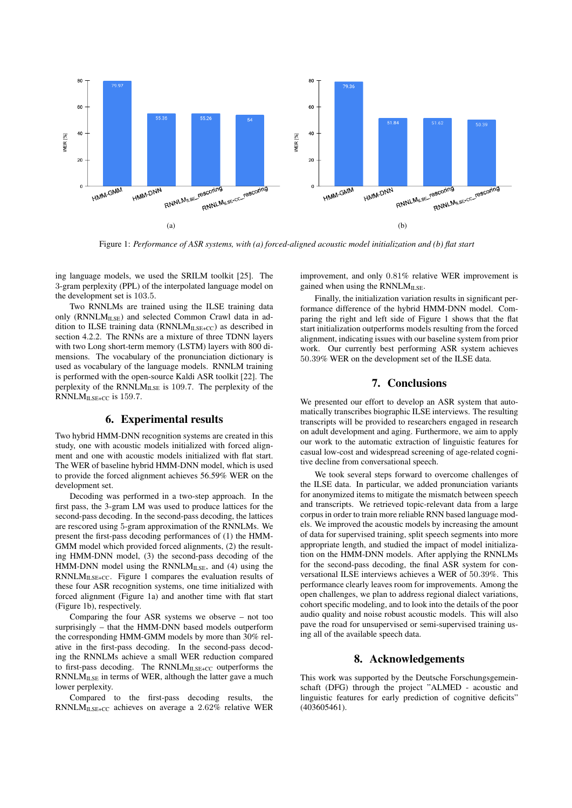

Figure 1: *Performance of ASR systems, with (a) forced-aligned acoustic model initialization and (b) flat start*

ing language models, we used the SRILM toolkit [25]. The 3-gram perplexity (PPL) of the interpolated language model on the development set is 103.5.

Two RNNLMs are trained using the ILSE training data only ( $RNNLM<sub>ILSE</sub>$ ) and selected Common Crawl data in addition to ILSE training data ( $RNNLM_{LSE+CC}$ ) as described in section 4.2.2. The RNNs are a mixture of three TDNN layers with two Long short-term memory (LSTM) layers with 800 dimensions. The vocabulary of the pronunciation dictionary is used as vocabulary of the language models. RNNLM training is performed with the open-source Kaldi ASR toolkit [22]. The perplexity of the RNNLMILSE is 109.7. The perplexity of the RNNLMILSE+CC is 159.7.

# 6. Experimental results

Two hybrid HMM-DNN recognition systems are created in this study, one with acoustic models initialized with forced alignment and one with acoustic models initialized with flat start. The WER of baseline hybrid HMM-DNN model, which is used to provide the forced alignment achieves 56.59% WER on the development set.

Decoding was performed in a two-step approach. In the first pass, the 3-gram LM was used to produce lattices for the second-pass decoding. In the second-pass decoding, the lattices are rescored using 5-gram approximation of the RNNLMs. We present the first-pass decoding performances of (1) the HMM-GMM model which provided forced alignments, (2) the resulting HMM-DNN model, (3) the second-pass decoding of the HMM-DNN model using the  $RNNLM<sub>ILSE</sub>$ , and (4) using the  $RNNLM_{ILSE+CC}$ . Figure 1 compares the evaluation results of these four ASR recognition systems, one time initialized with forced alignment (Figure 1a) and another time with flat start (Figure 1b), respectively.

Comparing the four ASR systems we observe – not too surprisingly – that the HMM-DNN based models outperform the corresponding HMM-GMM models by more than 30% relative in the first-pass decoding. In the second-pass decoding the RNNLMs achieve a small WER reduction compared to first-pass decoding. The RNNLMILSE+CC outperforms the RNNLMILSE in terms of WER, although the latter gave a much lower perplexity.

Compared to the first-pass decoding results, the RNNLMILSE+CC achieves on average a 2.62% relative WER improvement, and only 0.81% relative WER improvement is gained when using the RNNLM<sub>ILSE</sub>.

Finally, the initialization variation results in significant performance difference of the hybrid HMM-DNN model. Comparing the right and left side of Figure 1 shows that the flat start initialization outperforms models resulting from the forced alignment, indicating issues with our baseline system from prior work. Our currently best performing ASR system achieves 50.39% WER on the development set of the ILSE data.

# 7. Conclusions

We presented our effort to develop an ASR system that automatically transcribes biographic ILSE interviews. The resulting transcripts will be provided to researchers engaged in research on adult development and aging. Furthermore, we aim to apply our work to the automatic extraction of linguistic features for casual low-cost and widespread screening of age-related cognitive decline from conversational speech.

We took several steps forward to overcome challenges of the ILSE data. In particular, we added pronunciation variants for anonymized items to mitigate the mismatch between speech and transcripts. We retrieved topic-relevant data from a large corpus in order to train more reliable RNN based language models. We improved the acoustic models by increasing the amount of data for supervised training, split speech segments into more appropriate length, and studied the impact of model initialization on the HMM-DNN models. After applying the RNNLMs for the second-pass decoding, the final ASR system for conversational ILSE interviews achieves a WER of 50.39%. This performance clearly leaves room for improvements. Among the open challenges, we plan to address regional dialect variations, cohort specific modeling, and to look into the details of the poor audio quality and noise robust acoustic models. This will also pave the road for unsupervised or semi-supervised training using all of the available speech data.

# 8. Acknowledgements

This work was supported by the Deutsche Forschungsgemeinschaft (DFG) through the project "ALMED - acoustic and linguistic features for early prediction of cognitive deficits" (403605461).